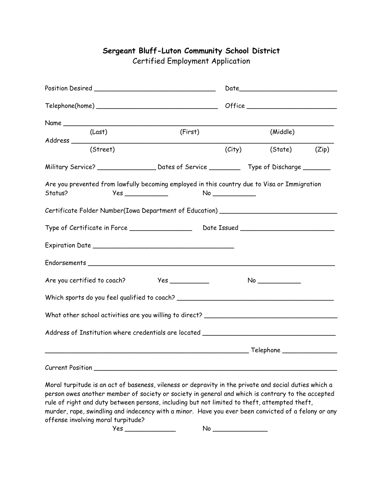## **Sergeant Bluff-Luton Community School District**

Certified Employment Application

| Name                                                                                                    |  |          |                      |  |
|---------------------------------------------------------------------------------------------------------|--|----------|----------------------|--|
| (First)<br>(Last)                                                                                       |  | (Middle) |                      |  |
| (Street)                                                                                                |  |          | (City) (State) (Zip) |  |
|                                                                                                         |  |          |                      |  |
| Are you prevented from lawfully becoming employed in this country due to Visa or Immigration<br>Status? |  | No       |                      |  |
| Certificate Folder Number(Iowa Department of Education) ________________________                        |  |          |                      |  |
|                                                                                                         |  |          |                      |  |
|                                                                                                         |  |          |                      |  |
|                                                                                                         |  |          |                      |  |
| Are you certified to coach? Yes ___________                                                             |  |          | No                   |  |
| Which sports do you feel qualified to coach? ___________________________________                        |  |          |                      |  |
| What other school activities are you willing to direct? ________________________                        |  |          |                      |  |
| Address of Institution where credentials are located ____________________________                       |  |          |                      |  |
|                                                                                                         |  |          |                      |  |
| <b>Current Position</b>                                                                                 |  |          |                      |  |

Moral turpitude is an act of baseness, vileness or depravity in the private and social duties which a person owes another member of society or society in general and which is contrary to the accepted rule of right and duty between persons, including but not limited to theft, attempted theft, murder, rape, swindling and indecency with a minor. Have you ever been convicted of a felony or any offense involving moral turpitude?

Yes \_\_\_\_\_\_\_\_\_\_\_\_\_ No \_\_\_\_\_\_\_\_\_\_\_\_\_\_